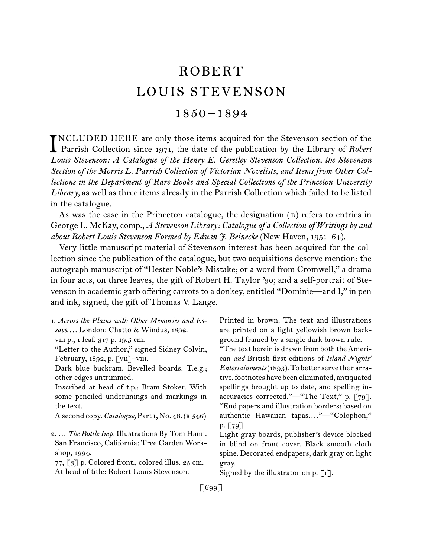# ROBERT LOUIS STEVENSON

## 1850 –1894

NCLUDED HERE are only those items acquired for the Stevenson section of the Parrish Collection since 1971, the date of the publication by the Library of *Robert* Parrish Collection since 1971, the date of the publication by the Library of *Robert Louis Stevenson: A Catalogue of the Henry E. Gerstley Stevenson Collection, the Stevenson Section of the Morris L. Parrish Collection of Victorian Novelists, and Items from Other Collections in the Department of Rare Books and Special Collections of the Princeton University Library,* as well as three items already in the Parrish Collection which failed to be listed in the catalogue.

As was the case in the Princeton catalogue, the designation ( b) refers to entries in George L. McKay, comp., *A Stevenson Library: Catalogue of a Collection of Writings by and about Robert Louis Stevenson Formed by Edwin J. Beinecke* (New Haven, 1951–64).

Very little manuscript material of Stevenson interest has been acquired for the collection since the publication of the catalogue, but two acquisitions deserve mention: the autograph manuscript of "Hester Noble's Mistake; or a word from Cromwell," a drama in four acts, on three leaves, the gift of Robert H. Taylor '30; and a self-portrait of Stevenson in academic garb offering carrots to a donkey, entitled "Dominie—and I," in pen and ink, signed, the gift of Thomas V. Lange.

1.  *Across the Plains with Other Memories and Essays. . . .* London: Chatto & Windus, 1892. viii p., 1 leaf, 317 p. 19.5 cm. "Letter to the Author," signed Sidney Colvin, February, 1892, p. [vii]–viii. Dark blue buckram. Bevelled boards. T.e.g.; other edges untrimmed. Inscribed at head of t.p.: Bram Stoker. With

some penciled underlinings and markings in the text.

Asecond copy. *Catalogue,* Parti, No. 48. (b 546)

77,  $\lceil 3 \rceil$  p. Colored front., colored illus. 25 cm. At head of title: Robert Louis Stevenson.

Printed in brown. The text and illustrations are printed on a light yellowish brown background framed by a single dark brown rule.

"The text herein is drawn from both theAmerican *and* British first editions of *Island Nights' Entertainments* (1893). To better serve the narrative, footnotes have been eliminated, antiquated spellings brought up to date, and spelling inaccuracies corrected."—"The Text," p. [79]. "End papers and illustration borders: based on authentic Hawaiian tapas...."—"Colophon," p. [79].

Light gray boards, publisher's device blocked in blind on front cover. Black smooth cloth spine. Decorated endpapers, dark gray on light gray.

Signed by the illustrator on p.  $\lbrack 1 \rbrack$ .

[ 699 ]

<sup>2.  …</sup> *The Bottle Imp.* Illustrations By Tom Hann. San Francisco, California: Tree Garden Workshop, 1994.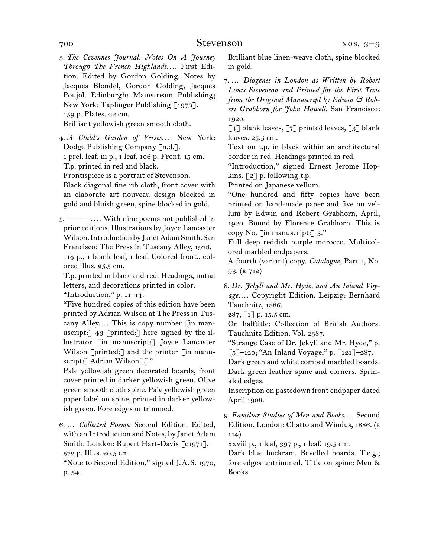3.  *The Cevennes Journal. Notes On A Journey Through The French Highlands. . . .* First Edition. Edited by Gordon Golding. Notes by Jacques Blondel, Gordon Golding, Jacques Poujol. Edinburgh: Mainstream Publishing; New York: Taplinger Publishing [1979]. 159 p. Plates. 22 cm. Brilliant yellowish green smooth cloth.

4.  *A Child's Garden of Verses. . . .* New York: Dodge Publishing Company [n.d.]. 1 prel. leaf, iii p., 1 leaf, 106 p. Front. 15 cm. T.p. printed in red and black. Frontispiece is a portrait of Stevenson. Black diagonal fine rib cloth, front cover with an elaborate art nouveau design blocked in gold and bluish green, spine blocked in gold.

5.  ———. . . . With nine poems not published in prior editions. Illustrations by Joyce Lancaster Wilson. Introduction by Janet Adam Smith. San Francisco: The Press in Tuscany Alley, 1978. 114 p., 1 blank leaf, 1 leaf. Colored front., colored illus. 25.5 cm.

T.p. printed in black and red. Headings, initial letters, and decorations printed in color.

"Introduction,"  $p. 11-14$ .

"Five hundred copies of this edition have been printed by Adrian Wilson at The Press in Tuscany Alley.... This is copy number  $\lceil$  in manuscript: $\lceil 43 \rceil$  printed: $\lceil 1 \rceil$  here signed by the illustrator [in manuscript:] Joyce Lancaster Wilson [printed:] and the printer [in manuscript: Adrian Wilson<sup>[.]"</sup>

Pale yellowish green decorated boards, front cover printed in darker yellowish green. Olive green smooth cloth spine. Pale yellowish green paper label on spine, printed in darker yellowish green. Fore edges untrimmed.

6.  … *Collected Poems.* Second Edition. Edited, with an Introduction and Notes, by Janet Adam Smith. London: Rupert Hart-Davis [c1971]. 572 p. Illus. 20.5 cm.

"Note to Second Edition," signed J. A. S. 1970, p. 54.

Brilliant blue linen-weave cloth, spine blocked in gold.

7.  … *Diogenes in London as Written by Robert Louis Stevenson and Printed for the First Time from the Original Manuscript by Edwin & Robert Grabhorn for John Howell.* San Francisco: 1920.

 $[4]$  blank leaves,  $[7]$  printed leaves,  $[3]$  blank leaves. 25.5 cm.

Text on t.p. in black within an architectural border in red. Headings printed in red.

"Introduction," signed Ernest Jerome Hopkins,  $\lceil 2 \rceil$  p. following t.p.

Printed on Japanese vellum.

"One hundred and fifty copies have been printed on hand-made paper and five on vellum by Edwin and Robert Grabhorn, April, 1920. Bound by Florence Grabhorn. This is copy No. [in manuscript:]  $3$ ."

Full deep reddish purple morocco. Multicolored marbled endpapers.

A fourth (variant) copy. *Catalogue,* Part i, No. 93. (b 712)

8.  *Dr. Jekyll and Mr. Hyde, and An Inland Voyage. . . .* Copyright Edition. Leipzig: Bernhard Tauchnitz, 1886.

287, [1] p. 15.5 cm.

On halftitle: Collection of British Authors. Tauchnitz Edition. Vol. 2387.

"Strange Case of Dr. Jekyll and Mr. Hyde," p. [5]–120; "An Inland Voyage," p. [121]–287.

Dark green and white combed marbled boards. Dark green leather spine and corners. Sprinkled edges.

Inscription on pastedown front endpaper dated April 1908.

9.  *Familiar Studies of Men and Books*. . . . Second Edition. London: Chatto and Windus, 1886. (b 114)

xxviii p., 1 leaf, 397 p., 1 leaf. 19.5 cm.

Dark blue buckram. Bevelled boards. T.e.g.; fore edges untrimmed. Title on spine: Men & Books.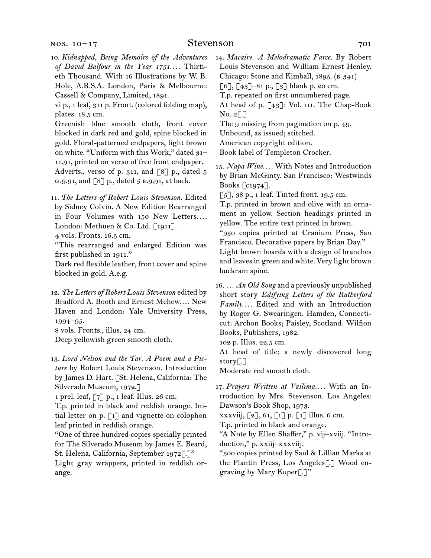10.  *Kidnapped, Being Memoirs of the Adventures of David Balfour in the Year 1751*. . . . Thirtieth Thousand. With 16 Illustrations by W. B. Hole, A.R.S.A. London, Paris & Melbourne: Cassell & Company, Limited, 1891.

vi p., 1 leaf, 311 p. Front. (colored folding map), plates. 18.5 cm.

Greenish blue smooth cloth, front cover blocked in dark red and gold, spine blocked in gold. Floral-patterned endpapers, light brown on white. "Uniform with this Work," dated 31– 11.91, printed on verso of free front endpaper. Adverts., verso of p. 311, and [8] p., dated 5 g.9.91, and [8] p., dated 5 b.9.91, at back.

11.  *The Letters of Robert Louis Stevenson.* Edited by Sidney Colvin. A New Edition Rearranged in Four Volumes with 150 New Letters.... London: Methuen & Co. Ltd. [1911].

4 vols. Fronts. 16.5 cm.

"This rearranged and enlarged Edition was first published in 1911."

Dark red flexible leather, front cover and spine blocked in gold. A.e.g.

12.  *The Letters of Robert Louis Stevenson* edited by Bradford A. Booth and Ernest Mehew.... New Haven and London: Yale University Press, 1994–95.

8 vols. Fronts., illus. 24 cm.

Deep yellowish green smooth cloth.

13.  *Lord Nelson and the Tar. A Poem and a Picture* by Robert Louis Stevenson. Introduction by James D. Hart. [St. Helena, California: The Silverado Museum, 1972.]

1 prel. leaf, [7] p., 1 leaf. Illus. 26 cm.

T.p. printed in black and reddish orange. Initial letter on p. [1] and vignette on colophon leaf printed in reddish orange.

"One of three hundred copies specially printed for The Silverado Museum by James E. Beard, St. Helena, California, September 1972[.]"

Light gray wrappers, printed in reddish orange.

14.  *Macaire. A Melodramatic Farce.* By Robert Louis Stevenson and William Ernest Henley. Chicago: Stone and Kimball, 1895. (B 341)  $[6]$ ,  $[43]$ –81 p.,  $[3]$  blank p. 20 cm.

T.p. repeated on first unnumbered page.

At head of p. [43]: Vol. III. The Chap-Book No. 2[.]

The 9 missing from pagination on p. 49. Unbound, as issued; stitched. American copyright edition. Book label of Templeton Crocker.

15.  *Napa Wine. . . .* With Notes and Introduction by Brian McGinty. San Francisco: Westwinds Books [c1974].

[5], 38 p., 1 leaf. Tinted front. 19.5 cm.

T.p. printed in brown and olive with an ornament in yellow. Section headings printed in yellow. The entire text printed in brown.

"950 copies printed at Cranium Press, San Francisco. Decorative papers by Brian Day." Light brown boards with a design of branches

and leaves in green and white. Very light brown buckram spine.

16.  … *An Old Song* and a previously unpublished short story *Edifying Letters of the Rutherford Family*. . . . Edited and with an Introduction by Roger G. Swearingen. Hamden, Connecticut: Archon Books; Paisley, Scotland: Wilfion Books, Publishers, 1982.

102 p. Illus. 22.5 cm.

At head of title: a newly discovered long story[.]

Moderate red smooth cloth.

17.  *Prayers Written at Vailima. . . .* With an Introduction by Mrs. Stevenson. Los Angeles: Dawson's Book Shop, 1973.

xxxviij,  $\lceil 2 \rceil$ , 61,  $\lceil 1 \rceil$  p.  $\lceil 1 \rceil$  illus. 6 cm.

T.p. printed in black and orange.

"A Note by Ellen Shaffer," p. vij–xviij. "Introduction," p. xxiij–xxxviij.

"500 copies printed by Saul & Lillian Marks at the Plantin Press, Los Angeles[.] Wood engraving by Mary Kuper[.]"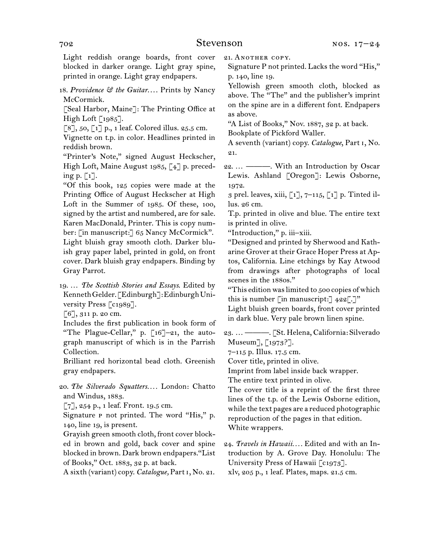Light reddish orange boards, front cover blocked in darker orange. Light gray spine, printed in orange. Light gray endpapers.

18.  *Providence & the Guitar*. . . . Prints by Nancy McCormick.

[Seal Harbor, Maine]: The Printing Office at High Loft  $\lceil 1985 \rceil$ .

 $\lceil 8 \rceil$ , 50,  $\lceil 1 \rceil$  p., 1 leaf. Colored illus. 25.5 cm.

Vignette on t.p. in color. Headlines printed in reddish brown.

"Printer's Note," signed August Heckscher, High Loft, Maine August 1985, [4] p. preceding p.  $\lceil 1 \rceil$ .

"Of this book, 125 copies were made at the Printing Office of August Heckscher at High Loft in the Summer of 1985. Of these, 100, signed by the artist and numbered, are for sale. Karen MacDonald, Printer. This is copy number: [in manuscript:] 65 Nancy McCormick". Light bluish gray smooth cloth. Darker bluish gray paper label, printed in gold, on front cover. Dark bluish gray endpapers. Binding by Gray Parrot.

19.  … *The Scottish Stories and Essays*. Edited by KennethGelder.[Edinburgh]:EdinburghUniversity Press [c1989].

[6], 311 p. 20 cm.

Includes the first publication in book form of "The Plague-Cellar," p. [16]–21, the autograph manuscript of which is in the Parrish Collection.

Brilliant red horizontal bead cloth. Greenish gray endpapers.

20.  *The Silverado Squatters. . . .* London: Chatto and Windus, 1883.

 $[7]$ , 254 p., 1 leaf. Front. 19.5 cm.

Signature P not printed. The word "His," p. 140, line 19, is present.

Grayish green smooth cloth, front cover blocked in brown and gold, back cover and spine blocked in brown. Dark brown endpapers."List of Books," Oct. 1883, 32 p. at back.

A sixth (variant) copy. *Catalogue,* Part i, No. 21.

21. ANOTHER COPY. Signature P not printed. Lacks the word "His,"

p. 140, line 19.

Yellowish green smooth cloth, blocked as above. The "The" and the publisher's imprint on the spine are in a different font. Endpapers as above.

"A List of Books," Nov. 1887, 32 p. at back.

Bookplate of Pickford Waller.

A seventh (variant) copy. *Catalogue*, Part i, No. 21.

22.  … ———. With an Introduction by Oscar Lewis. Ashland [Oregon]: Lewis Osborne, 1972.

3 prel. leaves, xiii,  $\lceil 1 \rceil$ ,  $7$ –115,  $\lceil 1 \rceil$  p. Tinted illus. 26 cm.

T.p. printed in olive and blue. The entire text is printed in olive.

"Introduction," p. iii–xiii.

"Designed and printed by Sherwood and Katharine Grover at their Grace Hoper Press at Aptos, California. Line etchings by Kay Atwood from drawings after photographs of local scenes in the 1880s."

"This edition waslimited to 500 copies of which this is number  $\lceil \text{in manuscript:} \rceil$  422 $\lceil \cdot \rceil$ "

Light bluish green boards, front cover printed in dark blue. Very pale brown linen spine.

23.  … ———. [St. Helena, California: Silverado Museum], [1973?].

7–115 p. Illus. 17.5 cm.

Cover title, printed in olive.

Imprint from label inside back wrapper.

The entire text printed in olive.

The cover title is a reprint of the first three lines of the t.p. of the Lewis Osborne edition, while the text pages are a reduced photographic reproduction of the pages in that edition. White wrappers.

24.  *Travels in Hawaii. . . .* Edited and with an Introduction by A. Grove Day. Honolulu: The University Press of Hawaii [c1973]. xlv, 205 p., 1 leaf. Plates, maps. 21.5 cm.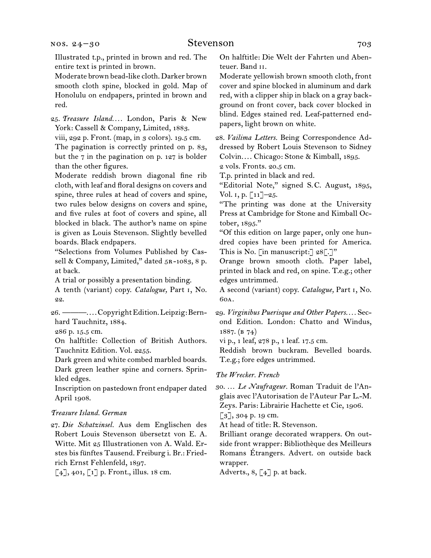#### nos. 24–30

### Stevenson 703

Illustrated t.p., printed in brown and red. The entire text is printed in brown.

Moderate brown bead-like cloth. Darker brown smooth cloth spine, blocked in gold. Map of Honolulu on endpapers, printed in brown and red.

25.  *Treasure Island. . . .* London, Paris & New York: Cassell & Company, Limited, 1883.

viii, 292 p. Front. (map, in 3 colors). 19.5 cm.

The pagination is correctly printed on p. 83, but the 7 in the pagination on p. 127 is bolder than the other figures.

Moderate reddish brown diagonal fine rib cloth, with leaf and floral designs on covers and spine, three rules at head of covers and spine, two rules below designs on covers and spine, and five rules at foot of covers and spine, all blocked in black. The author's name on spine is given as Louis Stevenson. Slightly bevelled boards. Black endpapers.

"Selections from Volumes Published by Cassell & Company, Limited," dated  $5R-1083$ , 8 p. at back.

A trial or possibly a presentation binding.

A tenth (variant) copy. *Catalogue,* Part i, No. 22.

26.  ———. . . .CopyrightEdition.Leipzig:Bernhard Tauchnitz, 1884.

286 p. 15.5 cm.

On halftitle: Collection of British Authors. Tauchnitz Edition. Vol. 2255.

Dark green and white combed marbled boards. Dark green leather spine and corners. Sprinkled edges.

Inscription on pastedown front endpaper dated April 1908.

#### *Treasure Island. German*

27.  *Die Schatzinsel.* Aus dem Englischen des Robert Louis Stevenson übersetzt von E. A. Witte. Mit 25 Illustrationen von A. Wald. Erstes bis fünftes Tausend. Freiburg i. Br.: Friedrich Ernst Fehlenfeld, 1897.

 $\lceil 4 \rceil$ , 401,  $\lceil 1 \rceil$  p. Front., illus. 18 cm.

On halftitle: Die Welt der Fahrten und Abenteuer. Band ii.

Moderate yellowish brown smooth cloth, front cover and spine blocked in aluminum and dark red, with a clipper ship in black on a gray background on front cover, back cover blocked in blind. Edges stained red. Leaf-patterned endpapers, light brown on white.

28.  *Vailima Letters.* Being Correspondence Addressed by Robert Louis Stevenson to Sidney Colvin. . . . Chicago: Stone & Kimball, 1895. 2 vols. Fronts. 20.5 cm.

T.p. printed in black and red.

"Editorial Note," signed S. C. August, 1895, Vol. i, p. [11]–25.

"The printing was done at the University Press at Cambridge for Stone and Kimball October, 1895."

"Of this edition on large paper, only one hundred copies have been printed for America. This is No. [in manuscript:] 28[.]"

Orange brown smooth cloth. Paper label, printed in black and red, on spine. T.e.g.; other edges untrimmed.

A second (variant) copy. *Catalogue,* Part i, No. 60a.

29.  *Virginibus Puerisque and Other Papers. . . .* Second Edition. London: Chatto and Windus, 1887. (b 74)

vi p., 1 leaf, 278 p., 1 leaf. 17.5 cm.

Reddish brown buckram. Bevelled boards. T.e.g.; fore edges untrimmed.

#### *The Wrecker. French*

30.  … *Le Naufrageur.* Roman Traduit de l'Anglais avec l'Autorisation de l'Auteur Par L.-M. Zeys. Paris: Librairie Hachette et Cie, 1906.

 $\lceil 3 \rceil$ , 304 p. 19 cm.

At head of title: R. Stevenson.

Brilliant orange decorated wrappers. On outside front wrapper: Bibliothèque des Meilleurs Romans Étrangers. Advert. on outside back wrapper.

Adverts.,  $8, [4]$  p. at back.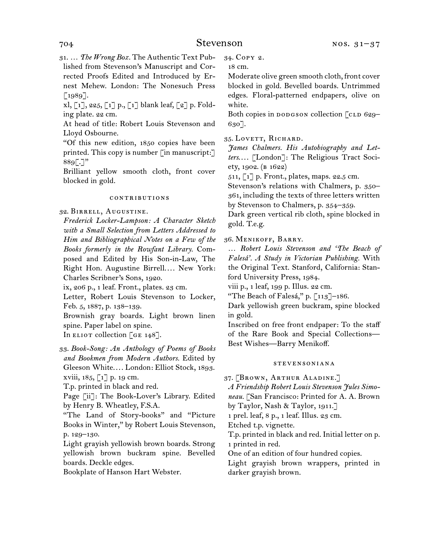#### 704 Stevenson

31.  … *The Wrong Box.* The Authentic Text Published from Stevenson's Manuscript and Corrected Proofs Edited and Introduced by Ernest Mehew. London: The Nonesuch Press  $[1989]$ .

xl, [1], 225, [1] p., [1] blank leaf, [2] p. Folding plate. 22 cm.

At head of title: Robert Louis Stevenson and Lloyd Osbourne.

"Of this new edition, 1850 copies have been printed. This copy is number [in manuscript:]  $889$ [.]"

Brilliant yellow smooth cloth, front cover blocked in gold.

#### contributions

32.  Birrell, Augustine.

*Frederick Locker-Lampson: A Character Sketch with a Small Selection from Letters Addressed to Him and Bibliographical Notes on a Few of the Books formerly in the Rowfant Library.* Composed and Edited by His Son-in-Law, The Right Hon. Augustine Birrell.... New York: Charles Scribner's Sons, 1920.

ix, 206 p., 1 leaf. Front., plates. 23 cm.

Letter, Robert Louis Stevenson to Locker, Feb. 5, 1887, p. 138–139.

Brownish gray boards. Light brown linen spine. Paper label on spine.

In ELIOT collection  $\lceil$  GE 148].

33.  *Book-Song: An Anthology of Poems of Books and Bookmen from Modern Authors.* Edited by Gleeson White.... London: Elliot Stock, 1893. xviii,  $185, 17$  p. 19 cm.

T.p. printed in black and red.

Page [ii]: The Book-Lover's Library. Edited by Henry B. Wheatley, F.S.A.

"The Land of Story-books" and "Picture Books in Winter," by Robert Louis Stevenson, p. 129–130.

Light grayish yellowish brown boards. Strong yellowish brown buckram spine. Bevelled boards. Deckle edges.

Bookplate of Hanson Hart Webster.

34.  Copy 2.

18 cm.

Moderate olive green smooth cloth, front cover blocked in gold. Bevelled boards. Untrimmed edges. Floral-patterned endpapers, olive on white.

Both copies in  $poosson$  collection [CLD 629– 630].

35.  Lovett, Richard.

*James Chalmers. His Autobiography and Letters*. . . . [London]: The Religious Tract Society, 1902. (b 1622)

 $511, 17$  p. Front., plates, maps. 22.5 cm.

Stevenson's relations with Chalmers, p. 350– 361, including the texts of three letters written by Stevenson to Chalmers, p. 354–359.

Dark green vertical rib cloth, spine blocked in gold. T.e.g.

36.  Menikoff, Barry.

… *Robert Louis Stevenson and 'The Beach of Falesá'. A Study in Victorian Publishing.* With the Original Text. Stanford, California: Stanford University Press, 1984.

viii p., 1 leaf, 199 p. Illus. 22 cm.

"The Beach of Falesá," p.  $\lceil 113 \rceil$ –186.

Dark yellowish green buckram, spine blocked in gold.

Inscribed on free front endpaper: To the staff of the Rare Book and Special Collections— Best Wishes—Barry Menikoff.

#### stevensoniana

37.  [Brown, Arthur Aladine.]

*A Friendship Robert Louis Stevenson Jules Simoneau.* [San Francisco: Printed for A. A. Brown

by Taylor, Nash & Taylor, 1911.]

1 prel. leaf, 8 p., 1 leaf. Illus. 23 cm.

Etched t.p. vignette.

T.p. printed in black and red. Initial letter on p. 1 printed in red.

One of an edition of four hundred copies.

Light grayish brown wrappers, printed in darker grayish brown.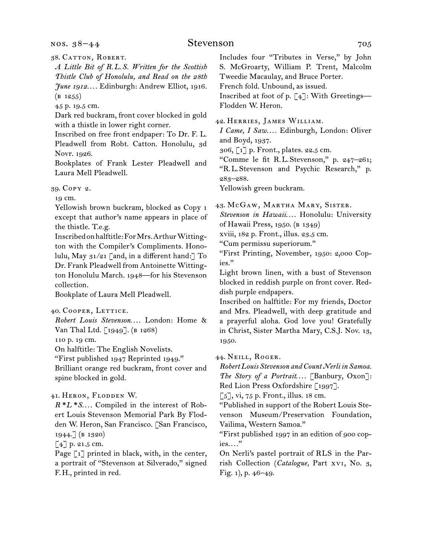nos. 38–44

### Stevenson 705

38.  Catton, Robert.

*A Little Bit of R.L.S. Written for the Scottish Thistle Club of Honolulu, and Read on the 28th June 1912*. . . . Edinburgh: Andrew Elliot, 1916.  $(B 1255)$ 

45 p. 19.5 cm.

Dark red buckram, front cover blocked in gold with a thistle in lower right corner.

Inscribed on free front endpaper: To Dr. F. L. Pleadwell from Robt. Catton. Honolulu, 3d Novr. 1926.

Bookplates of Frank Lester Pleadwell and Laura Mell Pleadwell.

39.  Copy 2.

19 cm.

Yellowish brown buckram, blocked as Copy 1 except that author's name appears in place of the thistle. T.e.g.

Inscribed on halftitle: For Mrs. Arthur Wittington with the Compiler's Compliments. Honolulu, May 31/21 [and, in a different hand:] To Dr. Frank Pleadwell from Antoinette Wittington Honolulu March. 1948—for his Stevenson collection.

Bookplate of Laura Mell Pleadwell.

40.  Cooper, Lettice.

*Robert Louis Stevenson*. . . . London: Home & Van Thal Ltd. [1949]. (B 1268)

110 p. 19 cm.

On halftitle: The English Novelists.

"First published 1947 Reprinted 1949."

Brilliant orange red buckram, front cover and spine blocked in gold.

41.  Heron, Flodden W.

*R\*L\*S*. . . . Compiled in the interest of Robert Louis Stevenson Memorial Park By Flodden W. Heron, San Francisco. [San Francisco, 1944.] (b 1320)

[4] p. 21.5 cm.

Page [1] printed in black, with, in the center, a portrait of "Stevenson at Silverado," signed F. H., printed in red.

Includes four "Tributes in Verse," by John S. McGroarty, William P. Trent, Malcolm Tweedie Macaulay, and Bruce Porter.

French fold. Unbound, as issued.

Inscribed at foot of p. [4]: With Greetings— Flodden W. Heron.

42.  Herries, James William.

*I Came, I Saw*. . . . Edinburgh, London: Oliver and Boyd, 1937.

306, [1] p. Front., plates. 22.5 cm.

"Comme le fit R. L. Stevenson," p. 247–261;

"R. L. Stevenson and Psychic Research," p. 283–288.

Yellowish green buckram.

43.  McGaw, Martha Mary, Sister.

*Stevenson in Hawaii*. . . . Honolulu: University of Hawaii Press, 1950. (b 1349)

xviii, 182 p. Front., illus. 23.5 cm.

"Cum permissu superiorum."

"First Printing, November, 1950: 2,000 Copies."

Light brown linen, with a bust of Stevenson blocked in reddish purple on front cover. Reddish purple endpapers.

Inscribed on halftitle: For my friends, Doctor and Mrs. Pleadwell, with deep gratitude and a prayerful aloha. God love you! Gratefully in Christ, Sister Martha Mary, C.S.J. Nov. 13, 1950.

44.  Neill, Roger.

*Robert Louis Stevenson and Count Nerli in Samoa. The Story of a Portrait*. . . . [Banbury, Oxon]: Red Lion Press Oxfordshire [1997].

 $\lceil 5 \rceil$ , vi, 75 p. Front., illus. 18 cm.

"Published in support of the Robert Louis Stevenson Museum/Preservation Foundation, Vailima, Western Samoa."

"First published 1997 in an edition of 900 copies.<sup>"</sup>

On Nerli's pastel portrait of RLS in the Parrish Collection (*Catalogue,* Part xvi, No. 3, Fig. 1), p. 46–49.